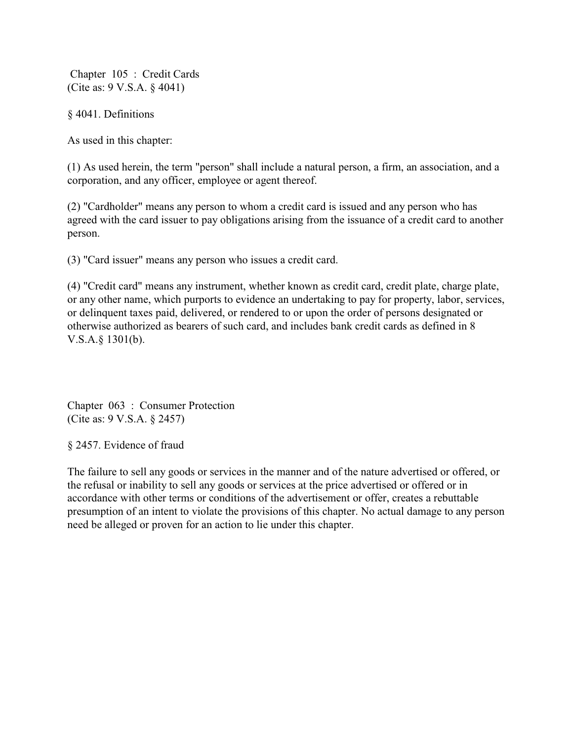Chapter 105 : Credit Cards (Cite as: 9 V.S.A. § 4041)

§ 4041. Definitions

As used in this chapter:

(1) As used herein, the term "person" shall include a natural person, a firm, an association, and a corporation, and any officer, employee or agent thereof.

(2) "Cardholder" means any person to whom a credit card is issued and any person who has agreed with the card issuer to pay obligations arising from the issuance of a credit card to another person.

(3) "Card issuer" means any person who issues a credit card.

(4) "Credit card" means any instrument, whether known as credit card, credit plate, charge plate, or any other name, which purports to evidence an undertaking to pay for property, labor, services, or delinquent taxes paid, delivered, or rendered to or upon the order of persons designated or otherwise authorized as bearers of such card, and includes bank credit cards as defined in 8 V.S.A.§ 1301(b).

Chapter 063 : Consumer Protection (Cite as: 9 V.S.A. § 2457)

§ 2457. Evidence of fraud

The failure to sell any goods or services in the manner and of the nature advertised or offered, or the refusal or inability to sell any goods or services at the price advertised or offered or in accordance with other terms or conditions of the advertisement or offer, creates a rebuttable presumption of an intent to violate the provisions of this chapter. No actual damage to any person need be alleged or proven for an action to lie under this chapter.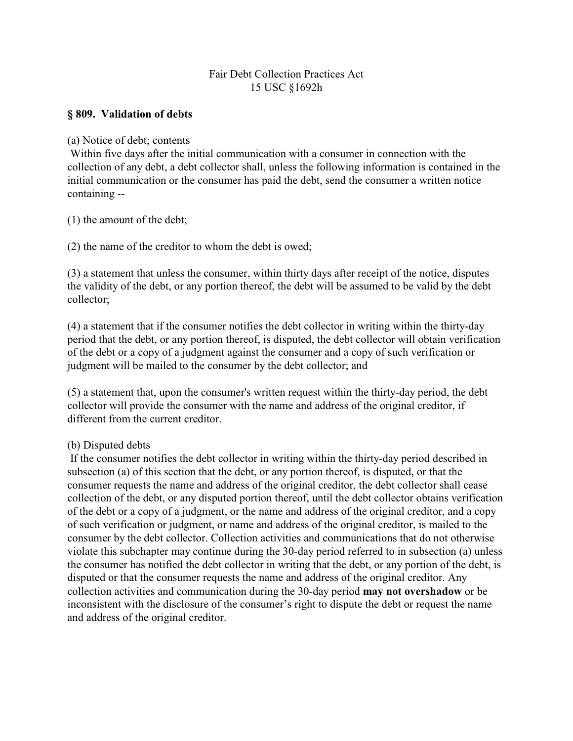# Fair Debt Collection Practices Act 15 USC §1692h

# **§ 809. Validation of debts**

(a) Notice of debt; contents

 Within five days after the initial communication with a consumer in connection with the collection of any debt, a debt collector shall, unless the following information is contained in the initial communication or the consumer has paid the debt, send the consumer a written notice containing --

(1) the amount of the debt;

(2) the name of the creditor to whom the debt is owed;

(3) a statement that unless the consumer, within thirty days after receipt of the notice, disputes the validity of the debt, or any portion thereof, the debt will be assumed to be valid by the debt collector;

(4) a statement that if the consumer notifies the debt collector in writing within the thirty-day period that the debt, or any portion thereof, is disputed, the debt collector will obtain verification of the debt or a copy of a judgment against the consumer and a copy of such verification or judgment will be mailed to the consumer by the debt collector; and

(5) a statement that, upon the consumer's written request within the thirty-day period, the debt collector will provide the consumer with the name and address of the original creditor, if different from the current creditor.

# (b) Disputed debts

 If the consumer notifies the debt collector in writing within the thirty-day period described in subsection (a) of this section that the debt, or any portion thereof, is disputed, or that the consumer requests the name and address of the original creditor, the debt collector shall cease collection of the debt, or any disputed portion thereof, until the debt collector obtains verification of the debt or a copy of a judgment, or the name and address of the original creditor, and a copy of such verification or judgment, or name and address of the original creditor, is mailed to the consumer by the debt collector. Collection activities and communications that do not otherwise violate this subchapter may continue during the 30-day period referred to in subsection (a) unless the consumer has notified the debt collector in writing that the debt, or any portion of the debt, is disputed or that the consumer requests the name and address of the original creditor. Any collection activities and communication during the 30-day period **may not overshadow** or be inconsistent with the disclosure of the consumer's right to dispute the debt or request the name and address of the original creditor.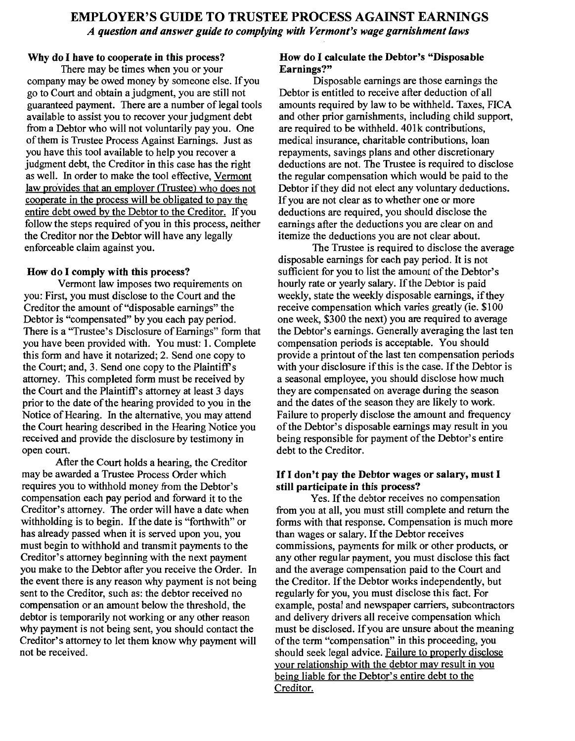# **EMPLOYER'S GUIDE TO TRUSTEE PROCESS AGAINST EARNINGS** A question and answer guide to complying with Vermont's wage garnishment laws

# Why do I have to cooperate in this process?

There may be times when you or your company may be owed money by someone else. If you go to Court and obtain a judgment, you are still not guaranteed payment. There are a number of legal tools available to assist you to recover your judgment debt from a Debtor who will not voluntarily pay you. One of them is Trustee Process Against Earnings. Just as you have this tool available to help you recover a judgment debt, the Creditor in this case has the right as well. In order to make the tool effective, Vermont law provides that an employer (Trustee) who does not cooperate in the process will be obligated to pay the entire debt owed by the Debtor to the Creditor. If you follow the steps required of you in this process, neither the Creditor nor the Debtor will have any legally enforceable claim against you.

# How do I comply with this process?

Vermont law imposes two requirements on you: First, you must disclose to the Court and the Creditor the amount of "disposable earnings" the Debtor is "compensated" by you each pay period. There is a "Trustee's Disclosure of Earnings" form that you have been provided with. You must: 1. Complete this form and have it notarized; 2. Send one copy to the Court; and, 3. Send one copy to the Plaintiff's attorney. This completed form must be received by the Court and the Plaintiff's attorney at least 3 days prior to the date of the hearing provided to you in the Notice of Hearing. In the alternative, you may attend the Court hearing described in the Hearing Notice you received and provide the disclosure by testimony in open court.

After the Court holds a hearing, the Creditor may be awarded a Trustee Process Order which requires you to withhold money from the Debtor's compensation each pay period and forward it to the Creditor's attorney. The order will have a date when withholding is to begin. If the date is "forthwith" or has already passed when it is served upon you, you must begin to withhold and transmit payments to the Creditor's attorney beginning with the next payment you make to the Debtor after you receive the Order. In the event there is any reason why payment is not being sent to the Creditor, such as: the debtor received no compensation or an amount below the threshold, the debtor is temporarily not working or any other reason why payment is not being sent, you should contact the Creditor's attorney to let them know why payment will not be received.

# How do I calculate the Debtor's "Disposable Earnings?"

Disposable earnings are those earnings the Debtor is entitled to receive after deduction of all amounts required by law to be withheld. Taxes, FICA and other prior garnishments, including child support, are required to be withheld. 401k contributions, medical insurance, charitable contributions, loan repayments, savings plans and other discretionary deductions are not. The Trustee is required to disclose the regular compensation which would be paid to the Debtor if they did not elect any voluntary deductions. If you are not clear as to whether one or more deductions are required, you should disclose the earnings after the deductions you are clear on and itemize the deductions you are not clear about.

The Trustee is required to disclose the average disposable earnings for each pay period. It is not sufficient for you to list the amount of the Debtor's hourly rate or yearly salary. If the Debtor is paid weekly, state the weekly disposable earnings, if they receive compensation which varies greatly (ie. \$100 one week, \$300 the next) you are required to average the Debtor's earnings. Generally averaging the last ten compensation periods is acceptable. You should provide a printout of the last ten compensation periods with your disclosure if this is the case. If the Debtor is a seasonal employee, you should disclose how much they are compensated on average during the season and the dates of the season they are likely to work. Failure to properly disclose the amount and frequency of the Debtor's disposable earnings may result in you being responsible for payment of the Debtor's entire debt to the Creditor.

# If I don't pay the Debtor wages or salary, must I still participate in this process?

Yes. If the debtor receives no compensation from you at all, you must still complete and return the forms with that response. Compensation is much more than wages or salary. If the Debtor receives commissions, payments for milk or other products, or any other regular payment, you must disclose this fact and the average compensation paid to the Court and the Creditor. If the Debtor works independently, but regularly for you, you must disclose this fact. For example, postal and newspaper carriers, subcontractors and delivery drivers all receive compensation which must be disclosed. If you are unsure about the meaning of the term "compensation" in this proceeding, you should seek legal advice. Failure to properly disclose your relationship with the debtor may result in you being liable for the Debtor's entire debt to the Creditor.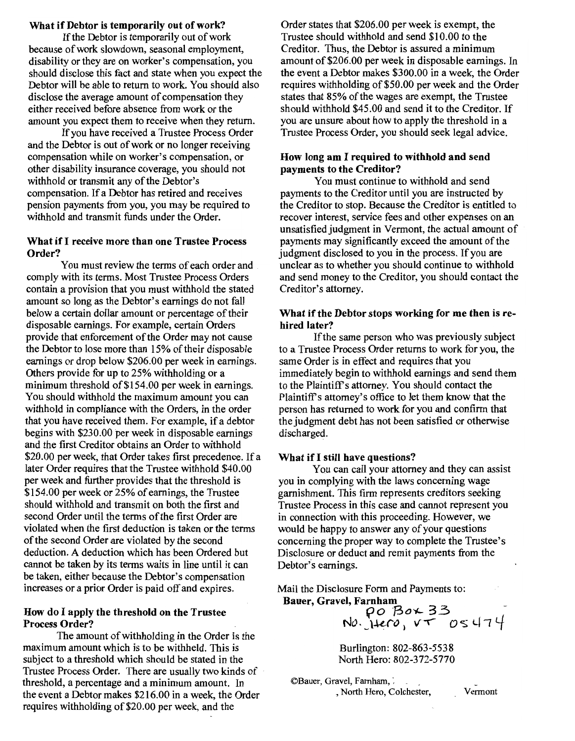## What if Debtor is temporarily out of work?

If the Debtor is temporarily out of work because of work slowdown, seasonal employment, disability or they are on worker's compensation, you should disclose this fact and state when you expect the Debtor will be able to return to work. You should also disclose the average amount of compensation they either received before absence from work or the amount you expect them to receive when they return.

If you have received a Trustee Process Order and the Debtor is out of work or no longer receiving compensation while on worker's compensation, or other disability insurance coverage, you should not withhold or transmit any of the Debtor's compensation. If a Debtor has retired and receives pension payments from you, you may be required to withhold and transmit funds under the Order.

# What if I receive more than one Trustee Process Order?

You must review the terms of each order and comply with its terms. Most Trustee Process Orders contain a provision that you must withhold the stated amount so long as the Debtor's earnings do not fall below a certain dollar amount or percentage of their disposable earnings. For example, certain Orders provide that enforcement of the Order may not cause the Debtor to lose more than 15% of their disposable earnings or drop below \$206.00 per week in earnings. Others provide for up to 25% withholding or a minimum threshold of \$154.00 per week in earnings. You should withhold the maximum amount you can withhold in compliance with the Orders, in the order that you have received them. For example, if a debtor begins with \$230.00 per week in disposable earnings and the first Creditor obtains an Order to withhold \$20.00 per week, that Order takes first precedence. If a later Order requires that the Trustee withhold \$40.00 per week and further provides that the threshold is \$154.00 per week or 25% of earnings, the Trustee should withhold and transmit on both the first and second Order until the terms of the first Order are violated when the first deduction is taken or the terms of the second Order are violated by the second deduction. A deduction which has been Ordered but cannot be taken by its terms waits in line until it can be taken, either because the Debtor's compensation increases or a prior Order is paid off and expires.

# How do I apply the threshold on the Trustee Process Order?

The amount of withholding in the Order is the maximum amount which is to be withheld. This is subject to a threshold which should be stated in the Trustee Process Order. There are usually two kinds of threshold, a percentage and a minimum amount. In the event a Debtor makes \$216.00 in a week, the Order requires withholding of \$20.00 per week, and the

Order states that \$206.00 per week is exempt, the Trustee should withhold and send \$10.00 to the Creditor. Thus, the Debtor is assured a minimum amount of \$206.00 per week in disposable earnings. In the event a Debtor makes \$300.00 in a week, the Order requires withholding of \$50.00 per week and the Order states that 85% of the wages are exempt, the Trustee should withhold \$45.00 and send it to the Creditor. If you are unsure about how to apply the threshold in a Trustee Process Order, you should seek legal advice.

# How long am I required to withhold and send payments to the Creditor?

You must continue to withhold and send payments to the Creditor until you are instructed by the Creditor to stop. Because the Creditor is entitled to recover interest, service fees and other expenses on an unsatisfied judgment in Vermont, the actual amount of payments may significantly exceed the amount of the judgment disclosed to you in the process. If you are unclear as to whether you should continue to withhold and send money to the Creditor, you should contact the Creditor's attorney.

# What if the Debtor stops working for me then is rehired later?

If the same person who was previously subject to a Trustee Process Order returns to work for you, the same Order is in effect and requires that you immediately begin to withhold earnings and send them to the Plaintiff's attorney. You should contact the Plaintiff's attorney's office to let them know that the person has returned to work for you and confirm that the judgment debt has not been satisfied or otherwise discharged.

# What if I still have questions?

You can call your attorney and they can assist you in complying with the laws concerning wage garnishment. This firm represents creditors seeking Trustee Process in this case and cannot represent you in connection with this proceeding. However, we would be happy to answer any of your questions concerning the proper way to complete the Trustee's Disclosure or deduct and remit payments from the Debtor's earnings.

Mail the Disclosure Form and Payments to:

Bauer, Gravel, Farnham  $P^{\circ}$  Box 33<br>No. Hero,  $V$ T 05474

> Burlington: 802-863-5538 North Hero: 802-372-5770

CBauer, Gravel, Farnham, , North Hero, Colchester,

Vermont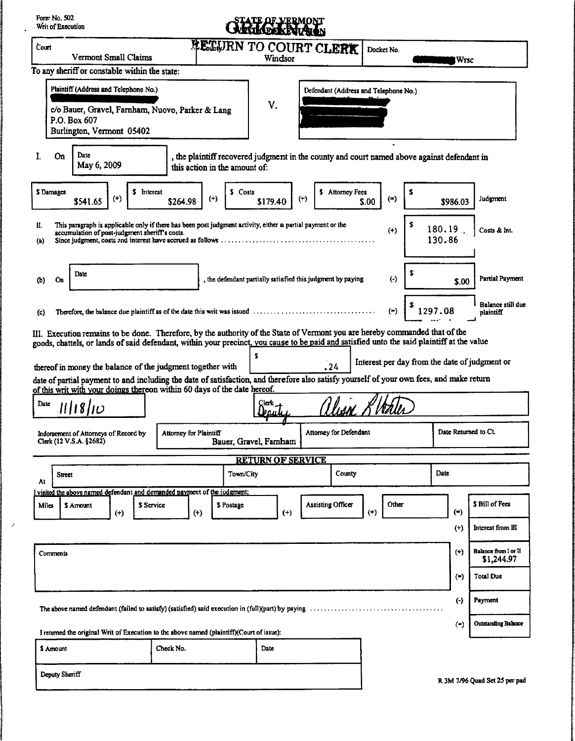|                                                                                            | Form No. 502<br>Writ of Execution |                                                                                    |       |                                                 |                                                                                                                                                                                                                                                                                    |          |            | OF VERMONT                                                                                  |                      |                          |                                       |            |    |                      |       |                                               |
|--------------------------------------------------------------------------------------------|-----------------------------------|------------------------------------------------------------------------------------|-------|-------------------------------------------------|------------------------------------------------------------------------------------------------------------------------------------------------------------------------------------------------------------------------------------------------------------------------------------|----------|------------|---------------------------------------------------------------------------------------------|----------------------|--------------------------|---------------------------------------|------------|----|----------------------|-------|-----------------------------------------------|
| Court                                                                                      |                                   | Vermont Small Claims                                                               |       |                                                 |                                                                                                                                                                                                                                                                                    |          |            | <b>FEEURN TO COURT CLERK</b><br>Windsor                                                     |                      |                          |                                       | Docket No. |    |                      | Wrsc  |                                               |
|                                                                                            |                                   | To any sheriff or constable within the state:                                      |       |                                                 |                                                                                                                                                                                                                                                                                    |          |            |                                                                                             |                      |                          |                                       |            |    |                      |       |                                               |
|                                                                                            |                                   | Plaintiff (Address and Telephone No.)<br>P.O. Box 607<br>Burlington, Vermont 05402 |       |                                                 | c/o Bauer, Gravel, Farnham, Nuovo, Parker & Lang                                                                                                                                                                                                                                   |          |            | V.                                                                                          |                      |                          | Defendant (Address and Telephone No.) |            |    |                      |       |                                               |
| I.                                                                                         | On                                | Date<br>May 6, 2009                                                                |       |                                                 | this action in the amount of:                                                                                                                                                                                                                                                      |          |            | , the plaintiff recovered judgment in the county and court named above against defendant in |                      |                          |                                       |            |    |                      |       |                                               |
|                                                                                            | \$ Damages                        | \$541.65                                                                           | $(+)$ | <b>S</b> Interest                               | \$264.98                                                                                                                                                                                                                                                                           | $^{(+)}$ | S Costs    | \$179.40                                                                                    | $^{(+)}$             |                          | <b>\$</b> Attorney Fees<br>\$.00      | $($ = $)$  | \$ | \$986.03             |       | Judgment                                      |
| II.<br>(a)                                                                                 |                                   | accumulation of post-judgment sheriff's costs.                                     |       |                                                 | This paragraph is applicable only if there has been post judgment activity, either a partial payment or the                                                                                                                                                                        |          |            |                                                                                             |                      |                          |                                       | $(+)$      | \$ | 180.19<br>130.86     |       | Costs & Int.                                  |
| (b)                                                                                        | On                                | Date                                                                               |       |                                                 |                                                                                                                                                                                                                                                                                    |          |            | , the defendant partially satisfied this judgment by paying                                 |                      |                          |                                       | $(\cdot)$  | S  |                      | \$.00 | Partial Payment                               |
| (c)                                                                                        |                                   |                                                                                    |       |                                                 |                                                                                                                                                                                                                                                                                    |          |            |                                                                                             |                      |                          |                                       | $($ - $)$  |    | 1297.08              |       | Balance still due<br>plaintiff                |
| Date                                                                                       |                                   | 11 18 10                                                                           |       |                                                 | thereof in money the balance of the judgment together with<br>date of partial payment to and including the date of satisfaction, and therefore also satisfy yourself of your own fees, and make return<br>of this writ with your doings thereon within 60 days of the date hereof. |          |            | lerk                                                                                        |                      | .24                      | $\mathcal{H}$                         |            |    |                      |       | Interest per day from the date of judgment or |
| Attorney for Plaintiff<br>Indorsement of Attorneys of Record by<br>Clerk (12 V.S.A. §2682) |                                   |                                                                                    |       | Attorney for Defendant<br>Bauer, Gravel, Famham |                                                                                                                                                                                                                                                                                    |          |            |                                                                                             | Date Returned to Ct. |                          |                                       |            |    |                      |       |                                               |
|                                                                                            |                                   |                                                                                    |       |                                                 |                                                                                                                                                                                                                                                                                    |          |            |                                                                                             |                      |                          |                                       |            |    |                      |       |                                               |
| At                                                                                         | Street                            |                                                                                    |       |                                                 | <b>RETURN OF SERVICE</b><br>County<br>Town/City                                                                                                                                                                                                                                    |          |            |                                                                                             |                      |                          |                                       | Date       |    |                      |       |                                               |
| Miles                                                                                      |                                   | \$ Amount                                                                          | $(+)$ | \$ Service                                      | I visited the above named defendant and demanded payment of the judgment;<br>$^{(+)}$                                                                                                                                                                                              |          | \$ Postage | $(+)$                                                                                       |                      | <b>Assisting Officer</b> | $(+)$                                 | Other      |    | $(\bullet)$          |       | \$ Bill of Fees                               |
|                                                                                            |                                   |                                                                                    |       |                                                 |                                                                                                                                                                                                                                                                                    |          |            |                                                                                             |                      |                          |                                       |            |    | $^{(+)}$             |       | Interest from $\scriptstyle\rm II$            |
|                                                                                            | Comments                          |                                                                                    |       |                                                 |                                                                                                                                                                                                                                                                                    |          |            |                                                                                             |                      |                          |                                       |            |    | $^{(+)}$             |       | Balance from I or II<br>\$1,244.97            |
|                                                                                            |                                   |                                                                                    |       |                                                 |                                                                                                                                                                                                                                                                                    |          |            |                                                                                             |                      |                          |                                       |            |    | $($ = $)$            |       | <b>Total Due</b>                              |
|                                                                                            |                                   |                                                                                    |       |                                                 | The above named defendant (failed to satisfy) (satisfied) said execution in (full)(part) by paying                                                                                                                                                                                 |          |            |                                                                                             |                      |                          |                                       |            |    | $\left(\cdot\right)$ |       | Payment                                       |
|                                                                                            |                                   |                                                                                    |       |                                                 | I returned the original Writ of Execution to the above named (plaintiff)(Court of issue):                                                                                                                                                                                          |          |            |                                                                                             |                      |                          |                                       |            |    | $($ =)               |       | <b>Outstanding Balance</b>                    |
|                                                                                            | \$ Amount                         |                                                                                    |       |                                                 | Check No.                                                                                                                                                                                                                                                                          |          |            | Date                                                                                        |                      |                          |                                       |            |    |                      |       |                                               |
|                                                                                            | Deputy Sheriff                    |                                                                                    |       |                                                 |                                                                                                                                                                                                                                                                                    |          |            |                                                                                             |                      |                          |                                       |            |    |                      |       | R 3M 7/96 Quad Set 25 per pad                 |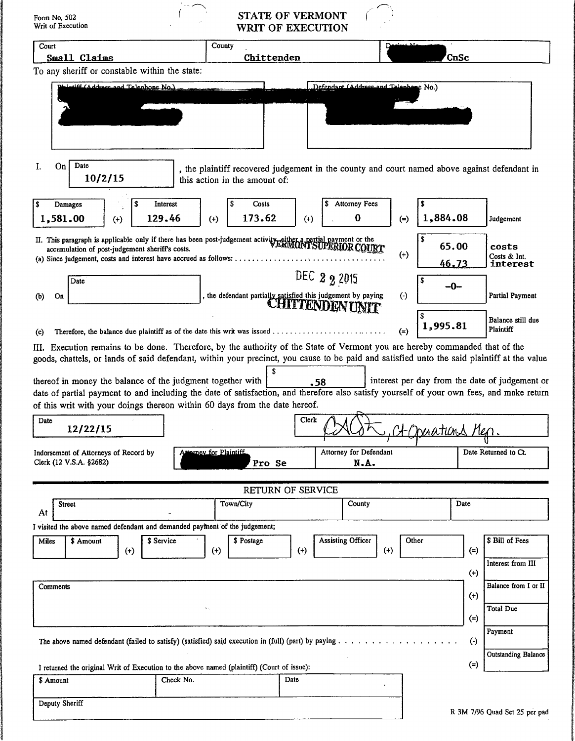# STATE OF VERMONT<br>WRIT OF EXECUTION

| Form No, 502<br>Writ of Execution                                                                                                                                                                                                                                                                                                                      |                                                                                                                               | <b>STATE OF VERMONT</b><br>WRIT OF EXECUTION                                  |                           |                                                |
|--------------------------------------------------------------------------------------------------------------------------------------------------------------------------------------------------------------------------------------------------------------------------------------------------------------------------------------------------------|-------------------------------------------------------------------------------------------------------------------------------|-------------------------------------------------------------------------------|---------------------------|------------------------------------------------|
| Court                                                                                                                                                                                                                                                                                                                                                  | County                                                                                                                        |                                                                               |                           |                                                |
| Small Claims                                                                                                                                                                                                                                                                                                                                           | Chittenden                                                                                                                    |                                                                               |                           | CnSc                                           |
| To any sheriff or constable within the state:                                                                                                                                                                                                                                                                                                          |                                                                                                                               |                                                                               |                           |                                                |
| intiff (Address and Telephone No.)                                                                                                                                                                                                                                                                                                                     |                                                                                                                               | Defendant (Address and Telephone No.)                                         |                           |                                                |
|                                                                                                                                                                                                                                                                                                                                                        |                                                                                                                               |                                                                               |                           |                                                |
|                                                                                                                                                                                                                                                                                                                                                        |                                                                                                                               |                                                                               |                           |                                                |
| Date<br>I.<br>On<br>10/2/15                                                                                                                                                                                                                                                                                                                            | , the plaintiff recovered judgement in the county and court named above against defendant in<br>this action in the amount of: |                                                                               |                           |                                                |
| \$<br>\$<br>Damages                                                                                                                                                                                                                                                                                                                                    | Costs<br><b>Interest</b>                                                                                                      | <b>Attorney Fees</b>                                                          |                           |                                                |
| 129.46<br>1,581.00<br>$^{(+)}$                                                                                                                                                                                                                                                                                                                         | 173.62<br>$(+)$                                                                                                               | 0<br>$^{(+)}$                                                                 | 1,884.08<br>$(=)$         | Judgement                                      |
| II. This paragraph is applicable only if there has been post-judgement activity either a partial payment or the state of the state of the state of the state of the state of the state of the state of the state of the state<br>accumulation of post-judgement sheriff's costs.<br>(a) Since judgement, costs and interest have accrued as follows: . |                                                                                                                               |                                                                               | S<br>$^{(+)}$             | 65.00<br>costs<br>Costs & Int.                 |
|                                                                                                                                                                                                                                                                                                                                                        |                                                                                                                               | DEC 2 2 2015                                                                  |                           | 46.73<br>interest                              |
| Date<br>On<br>(b)                                                                                                                                                                                                                                                                                                                                      |                                                                                                                               | the defendant partially satisfied this judgement by paying<br>CHITTENDEN UNIT | S<br>$(\cdot)$            | $-0-$<br><b>Partial Payment</b>                |
|                                                                                                                                                                                                                                                                                                                                                        |                                                                                                                               |                                                                               | 1,995.81<br>$(=)$         | Balance still due<br>Plaintiff                 |
| (c)<br>Execution remains to be done. Therefore, by the authority of the State of Vermont you are hereby commanded that of the<br>Ш.                                                                                                                                                                                                                    | Therefore, the balance due plaintiff as of the date this writ was issued                                                      |                                                                               |                           |                                                |
| goods, chattels, or lands of said defendant, within your precinct, you cause to be paid and satisfied unto the said plaintiff at the value                                                                                                                                                                                                             |                                                                                                                               |                                                                               |                           |                                                |
| thereof in money the balance of the judgment together with                                                                                                                                                                                                                                                                                             |                                                                                                                               |                                                                               |                           | interest per day from the date of judgement or |
| date of partial payment to and including the date of satisfaction, and therefore also satisfy yourself of your own fees, and make return                                                                                                                                                                                                               |                                                                                                                               | .58                                                                           |                           |                                                |
| of this writ with your doings thereon within 60 days from the date hereof.                                                                                                                                                                                                                                                                             |                                                                                                                               |                                                                               |                           |                                                |
| Date<br>12/22/15                                                                                                                                                                                                                                                                                                                                       |                                                                                                                               | Clerk<br><u>\U}'</u>                                                          | <u>CH Operations Men.</u> |                                                |
| Indorsement of Attorneys of Record by<br>Clerk (12 V.S.A. §2682)                                                                                                                                                                                                                                                                                       | Attorney for Plaintiff.<br>Pro Se                                                                                             | Attorney for Defendant<br>N.A.                                                |                           | Date Returned to Ct.                           |
|                                                                                                                                                                                                                                                                                                                                                        |                                                                                                                               |                                                                               |                           |                                                |
|                                                                                                                                                                                                                                                                                                                                                        |                                                                                                                               | RETURN OF SERVICE                                                             |                           |                                                |
| <b>Street</b><br>At                                                                                                                                                                                                                                                                                                                                    | Town/City                                                                                                                     | County                                                                        |                           | Date                                           |
| I visited the above named defendant and demanded payment of the judgement;<br>\$ Service<br>\$ Amount<br>Miles                                                                                                                                                                                                                                         | \$ Postage                                                                                                                    | <b>Assisting Officer</b>                                                      | Other                     | \$ Bill of Fees                                |
| $(+)$                                                                                                                                                                                                                                                                                                                                                  | $^{(+)}$                                                                                                                      | $^{(+)}$                                                                      | $^{(+)}$                  | $(=)$                                          |
|                                                                                                                                                                                                                                                                                                                                                        |                                                                                                                               |                                                                               |                           | Interest from III<br>$^{(+)}$                  |
| Comments                                                                                                                                                                                                                                                                                                                                               |                                                                                                                               |                                                                               |                           | Balance from I or II                           |
|                                                                                                                                                                                                                                                                                                                                                        | $\sim$ .                                                                                                                      |                                                                               |                           | $^{(+)}$<br><b>Total Due</b>                   |
| The above named defendant (failed to satisfy) (satisfied) said execution in (full) (part) by paying $\dots \dots \dots$                                                                                                                                                                                                                                |                                                                                                                               |                                                                               |                           | $(=)$<br>Payment<br>$(\cdot)$                  |
|                                                                                                                                                                                                                                                                                                                                                        |                                                                                                                               |                                                                               |                           | Outstanding Balance                            |
| I returned the original Writ of Execution to the above named (plaintiff) (Court of issue):<br>\$ Amount                                                                                                                                                                                                                                                | Check No.                                                                                                                     | Date                                                                          |                           | $(=)$                                          |
|                                                                                                                                                                                                                                                                                                                                                        |                                                                                                                               |                                                                               |                           |                                                |
| Deputy Sheriff                                                                                                                                                                                                                                                                                                                                         |                                                                                                                               |                                                                               |                           | R 3M 7/96 Quad Set 25 per pad                  |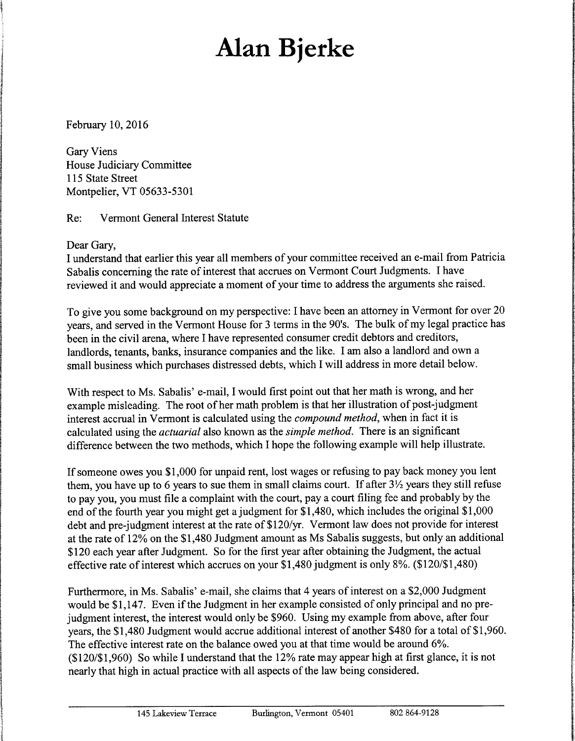# Alan Bjerke

February 10, 2016

Gary Viens House Judiciary Committee 115 State Street Montpelier, VT 05633-5301

 $Re:$ **Vermont General Interest Statute** 

# Dear Gary,

I understand that earlier this year all members of your committee received an e-mail from Patricia Sabalis concerning the rate of interest that accrues on Vermont Court Judgments. I have reviewed it and would appreciate a moment of your time to address the arguments she raised.

To give you some background on my perspective: I have been an attorney in Vermont for over 20 years, and served in the Vermont House for 3 terms in the 90's. The bulk of my legal practice has been in the civil arena, where I have represented consumer credit debtors and creditors, landlords, tenants, banks, insurance companies and the like. I am also a landlord and own a small business which purchases distressed debts, which I will address in more detail below.

With respect to Ms. Sabalis' e-mail, I would first point out that her math is wrong, and her example misleading. The root of her math problem is that her illustration of post-judgment interest accrual in Vermont is calculated using the *compound method*, when in fact it is calculated using the *actuarial* also known as the *simple method*. There is an significant difference between the two methods, which I hope the following example will help illustrate.

If someone owes you \$1,000 for unpaid rent, lost wages or refusing to pay back money you lent them, you have up to 6 years to sue them in small claims court. If after  $3\frac{1}{2}$  years they still refuse to pay you, you must file a complaint with the court, pay a court filing fee and probably by the end of the fourth year you might get a judgment for \$1,480, which includes the original \$1,000 debt and pre-judgment interest at the rate of \$120/yr. Vermont law does not provide for interest at the rate of 12% on the \$1,480 Judgment amount as Ms Sabalis suggests, but only an additional \$120 each year after Judgment. So for the first year after obtaining the Judgment, the actual effective rate of interest which accrues on your \$1,480 judgment is only 8%. (\$120/\$1,480)

Furthermore, in Ms. Sabalis' e-mail, she claims that 4 years of interest on a \$2,000 Judgment would be \$1,147. Even if the Judgment in her example consisted of only principal and no prejudgment interest, the interest would only be \$960. Using my example from above, after four years, the \$1,480 Judgment would accrue additional interest of another \$480 for a total of \$1,960. The effective interest rate on the balance owed you at that time would be around 6%. (\$120/\$1,960) So while I understand that the 12% rate may appear high at first glance, it is not nearly that high in actual practice with all aspects of the law being considered.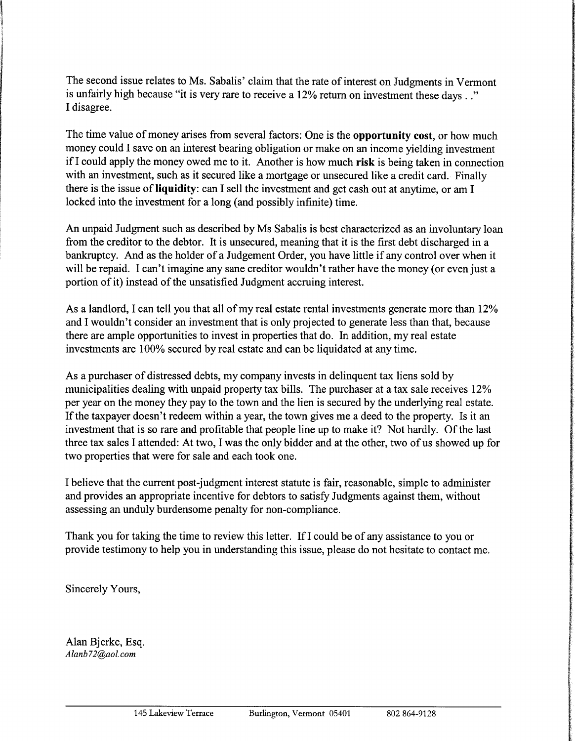The second issue relates to Ms. Sabalis' claim that the rate of interest on Judgments in Vermont is unfairly high because "it is very rare to receive a 12% return on investment these days . ." I disagree.

The time value of money arises from several factors: One is the opportunity cost, or how much money could I save on an interest bearing obligation or make on an income yielding investment if I could apply the money owed me to it. Another is how much risk is being taken in connection with an investment, such as it secured like a mortgage or unsecured like a credit card. Finally there is the issue of liquidity: can I sell the investment and get cash out at anytime, or am I locked into the investment for a long (and possibly infinite) time.

An unpaid Judgment such as described by Ms Sabalis is best characterized as an involuntary loan from the creditor to the debtor. It is unsecured, meaning that it is the first debt discharged in a bankruptcy. And as the holder of a Judgement Order, you have little if any control over when it will be repaid. I can't imagine any sane creditor wouldn't rather have the money (or even just a portion of it) instead of the unsatisfied Judgment accruing interest.

As a landlord, I can tell you that all of my real estate rental investments generate more than 12% and I wouldn't consider an investment that is only projected to generate less than that, because there are ample opportunities to invest in properties that do. In addition, my real estate investments are 100% secured by real estate and can be liquidated at any time.

As a purchaser of distressed debts, my company invests in delinquent tax liens sold by municipalities dealing with unpaid property tax bills. The purchaser at a tax sale receives 12% per year on the money they pay to the town and the lien is secured by the underlying real estate. If the taxpayer doesn't redeem within a year, the town gives me a deed to the property. Is it an investment that is so rare and profitable that people line up to make it? Not hardly. Of the last three tax sales I attended: At two, I was the only bidder and at the other, two of us showed up for two properties that were for sale and each took one.

I believe that the current post-judgment interest statute is fair, reasonable, simple to administer and provides an appropriate incentive for debtors to satisfy Judgments against them, without assessing an unduly burdensome penalty for non-compliance.

Thank you for taking the time to review this letter. If I could be of any assistance to you or provide testimony to help you in understanding this issue, please do not hesitate to contact me.

Sincerely Yours,

Alan Bjerke, Esq. Alanb72@aol.com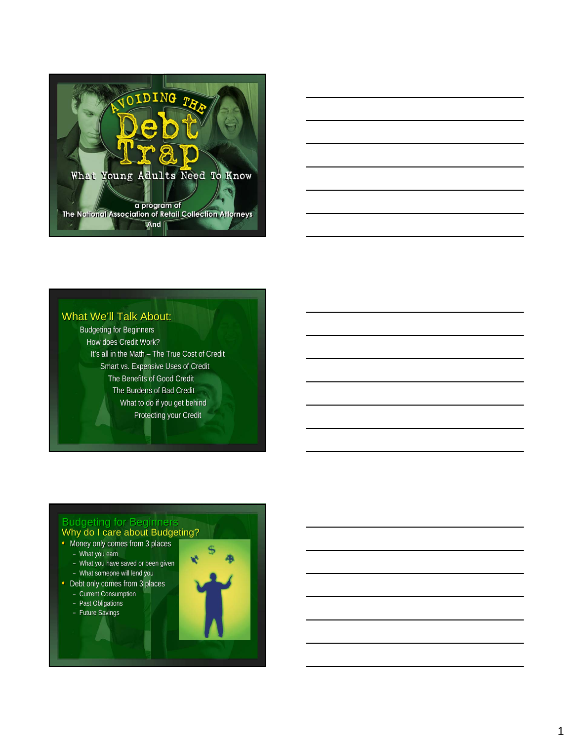

# What We'll Talk About:

Budgeting for Beginners How does Credit Work? It's all in the Math – The True Cost of Credit Smart vs. Expensive Uses of Credit The Benefits of Good Credit The Burdens of Bad Credit What to do if you get behind Protecting your Credit

### **Budgeting for Beginners** Why do I care about Budgeting?

- Money only comes from 3 places
	- What you earn
	- What you have saved or been given – What someone will lend you
- Debt only comes from 3 places
	- Current Consumption
	- Past Obligations
	- Future Savings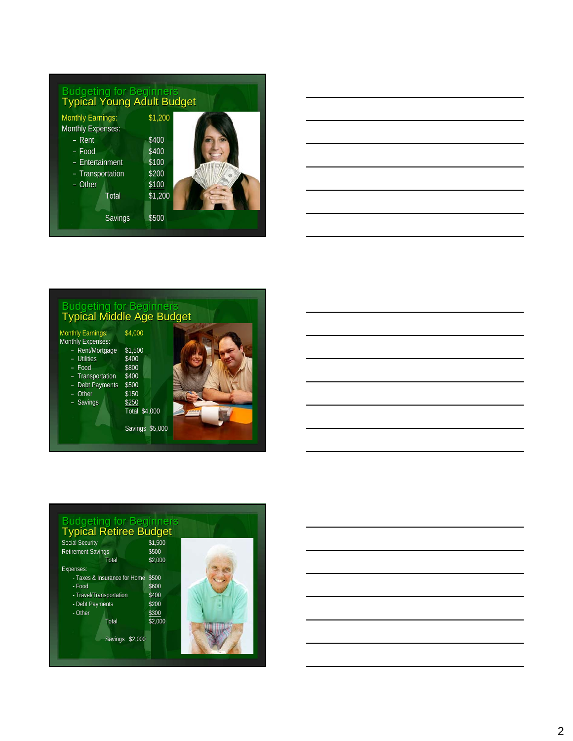

# **Budgeting for Beginners** Typical Middle Age Budget

| <b>Monthly Earnings:</b> | \$4,000                   |  |
|--------------------------|---------------------------|--|
| <b>Monthly Expenses:</b> |                           |  |
| - Rent/Mortgage          | \$1,500                   |  |
| - Utilities              | \$400                     |  |
| $-$ Food                 | \$800                     |  |
| - Transportation         | \$400                     |  |
| - Debt Payments          | \$500                     |  |
| $-$ Other                | \$150                     |  |
| - Savings                | \$250                     |  |
|                          | Total \$4,000             |  |
|                          |                           |  |
|                          | <b>Savings</b><br>\$5,000 |  |
|                          |                           |  |

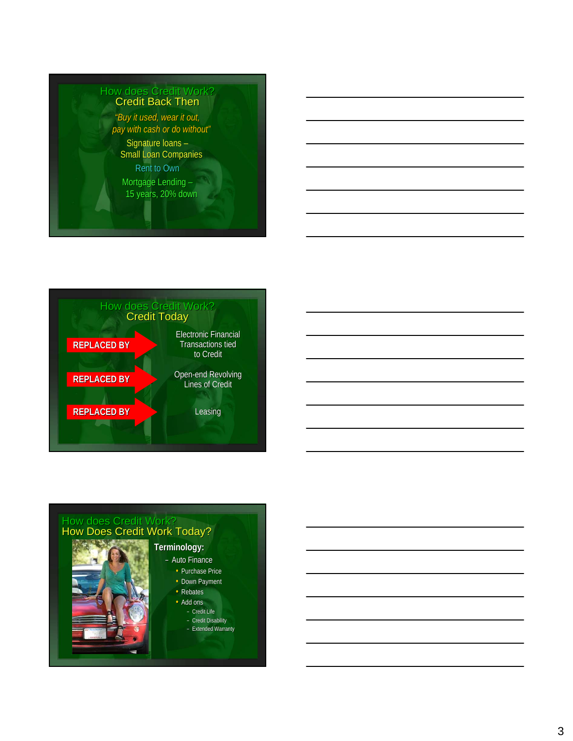# How does Credit Work? Credit Back Then

*"Buy it used, wear it out, Buy it used, wear it pay with cash or do without pay with cash or do without"* Signature loans – **Small Loan Companies** Rent to Own Mortgage Lending – 15 years, 20% down 15 years, 20% down



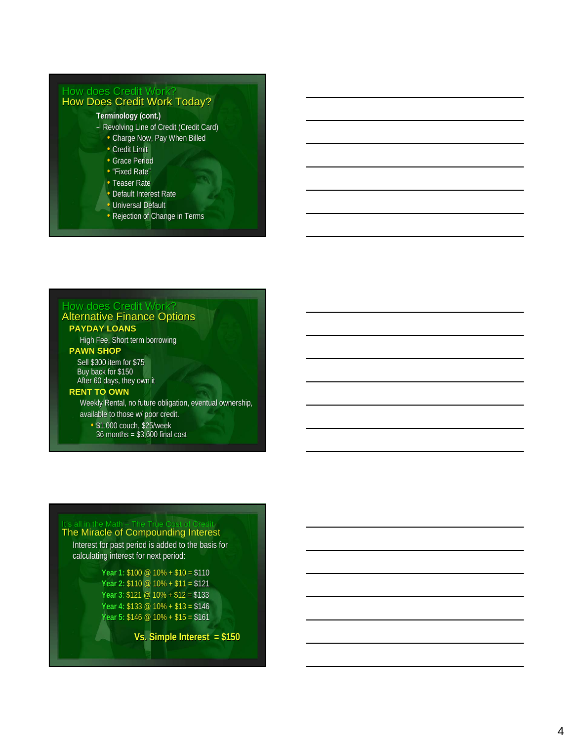## How does Credit Work? How Does Credit Work Today?

## **Terminology (cont.) Terminology (cont.)**

- Revolving Line of Credit (Credit Card)
	- Charge Now, Pay When Billed
	- Credit Limit<br>• Grace Period
	-
	- "Fixed Rate"
	- Teaser Rate
	- Default Interest Rate
	- Universal Default
	- Rejection of Change in Terms

# How does Credit Wo **Alternative Finance Options PAYDAY LOANS**

High Fee, Short term borrowing

# **PAWN SHOP**

Sell \$300 item for \$75 Buy back for \$150 After 60 days, they own it

# **RENT TO OWN**

Weekly Rental, no future obligation, eventual ownership, available to those w/ poor credit.<br>• \$1,000 couch, \$25/week  $36$  months = \$3,600 final cost

It's all in the Math – The True Cost of Credit<br>**The Miracle of Compounding Interest** Interest for past period is added to the basis for calculating interest for next period:

> **Year 1:** \$100 @ 10% + \$10 = \$110 Year 2: \$110 @ 10% + \$11 = \$121 **Year 3: \$121 @ 10% + \$12 = \$133** Year 4: \$133 @ 10% + \$13 = \$146 Year 5: \$146 @ 10% + \$15 = \$161

> > **Vs. Simple Interest = \$150**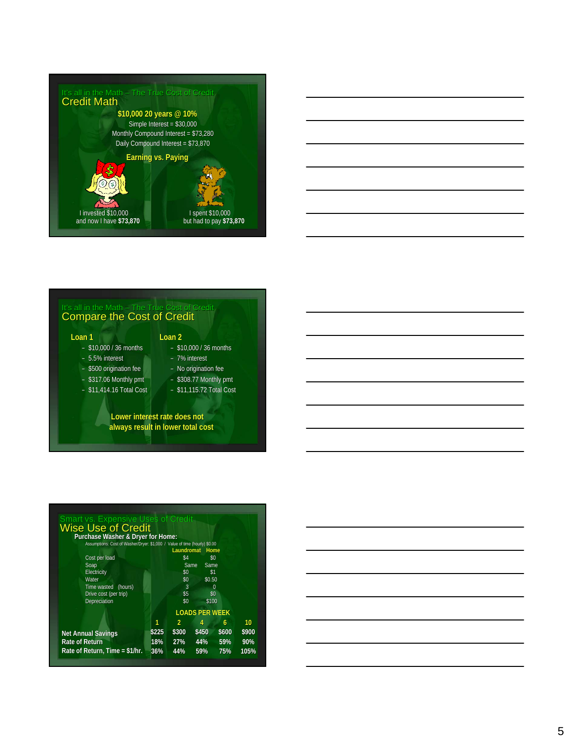



# It's all in the Math – The True Cost of Credit<br>**Compare the Cost of Credit**

**Loan 1** – \$10,000 / 36 months  $-5.5%$  interest

– \$500 origination fee

- **Loan 2** – \$10,000 / 36 months
- 7% interest 7% interest
	- No origination fee
	- $-$  \$308.77 Monthly pmt
- $-$  \$317.06 Monthly pmt  $-$  \$11,414.16 Total Cost – \$11,115.72 Total Cost \$11,115.72
	- **Lower interest rate does not Lower interest rate does not always result in lower total cost always result in lower total cost**

| <b>Smart vs. Expensive Uses of Credit</b><br><b>Wise Use of Credit</b><br>Purchase Washer & Dryer for Home: |       |                |                       |          |       |
|-------------------------------------------------------------------------------------------------------------|-------|----------------|-----------------------|----------|-------|
| Assumptions: Cost of Washer/Dryer: \$1,000 / Value of time (hourly) \$0.00                                  |       | Laundromat     | Home                  |          |       |
| Cost per load                                                                                               |       | \$4            | \$0                   |          |       |
| Soap                                                                                                        |       |                | Same.<br><b>Same</b>  |          |       |
| Electricity                                                                                                 |       | \$0\$          | \$1                   |          |       |
| Water                                                                                                       |       | \$0            | \$0.50                |          |       |
| Time wasted (hours)                                                                                         |       | 3              |                       | $\Omega$ |       |
| Drive cost (per trip)                                                                                       |       | \$5            | \$0                   |          |       |
| Depreciation                                                                                                |       | \$0            | \$100                 |          |       |
|                                                                                                             |       |                | <b>LOADS PER WEEK</b> |          |       |
|                                                                                                             | 1     | $\overline{2}$ | 4                     | 6        | 10    |
| <b>Net Annual Savings</b>                                                                                   | \$225 | \$300          | \$450                 | \$600    | \$900 |
| <b>Rate of Return</b>                                                                                       | 18%   | 27%            | 44%                   | 59%      | 90%   |
|                                                                                                             |       |                |                       |          |       |
| Rate of Return, Time = $$1/hr$ .                                                                            | 36%   | 44%            | 59%                   | 75%      | 105%  |

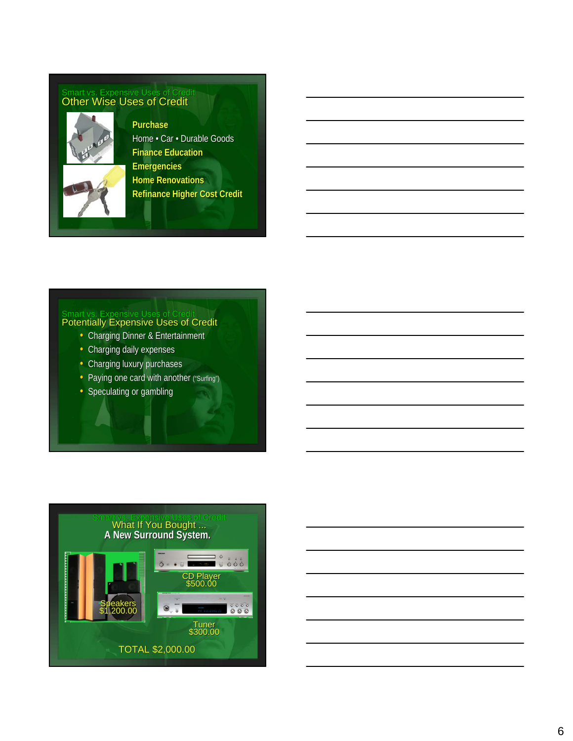### Smart vs. Expensive Uses of Credit **Other Wise Uses of Credit**



**Purchase Purchase** Home • Car • Durable Goods **Finance Education Emergencies Emergencies Home Renovations** 

**Refinance Higher Cost Credit Refinance Higher Cost Credit**

### Smart vs. Expensive Uses of Credit Potentially Expensive Uses of Credit

- Charging Dinner & Entertainment
- $\cdot$  Charging daily expenses
- Charging luxury purchases
- Paying one card with another ("Surfing")
- Speculating or gambling



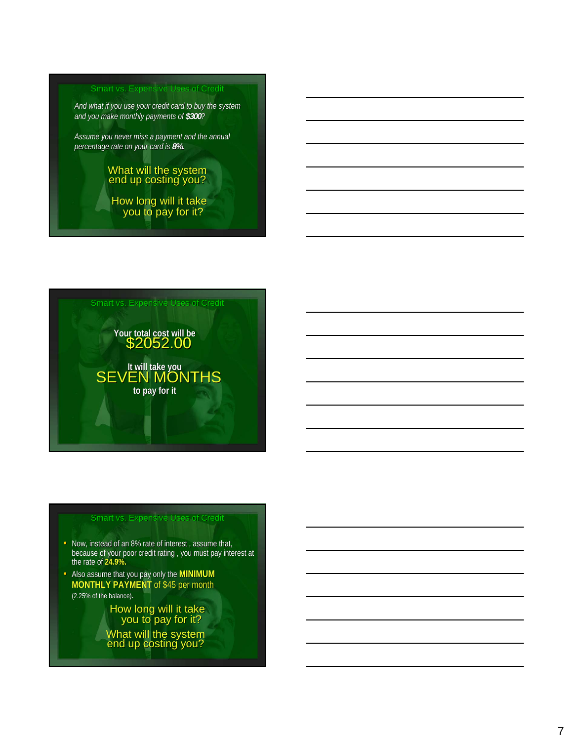# Smart vs. Expensive Uses of Credit

*And what if you use your credit card to buy the system if you use your card to buy the system*  and you make monthly payments of \$300?

Assume you never miss a payment and the annual *percentage rate on your card is percentage rate on your card is 8%.*

> What will the system end up costing you?

How long will it take you to pay for it? you to pay for it?



# Smart vs. Expensive Uses of Credit

- Now, instead of an 8% rate of interest , assume that, because of your poor credit rating, you must pay interest at the rate of the rate of **24.9%.**
- Also assume that you pay only the **MINIMUM MONTHLY PAYMENT** of \$45 per month  $(2.25\% \text{ of the balance}).$ 
	- How long will it take you to pay for it?
	- What will the system end up costing you?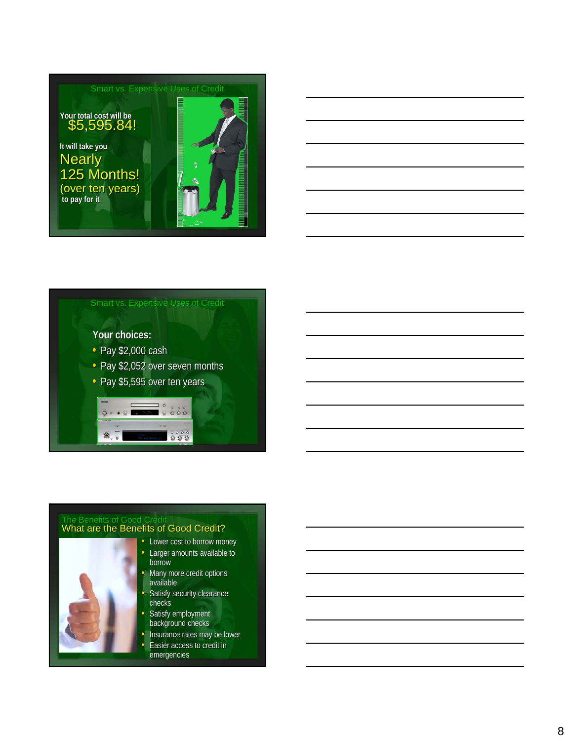



### The Benefits of Good Credit What are the Benefits of Good Credit?



- Lower cost to borrow money • Larger amounts available to **borrow**
- Many more credit options available
- Satisfy security clearance checks
- Satisfy employment background checks
- Insurance rates may be lower<br>• Easier access to credit in
- emergencies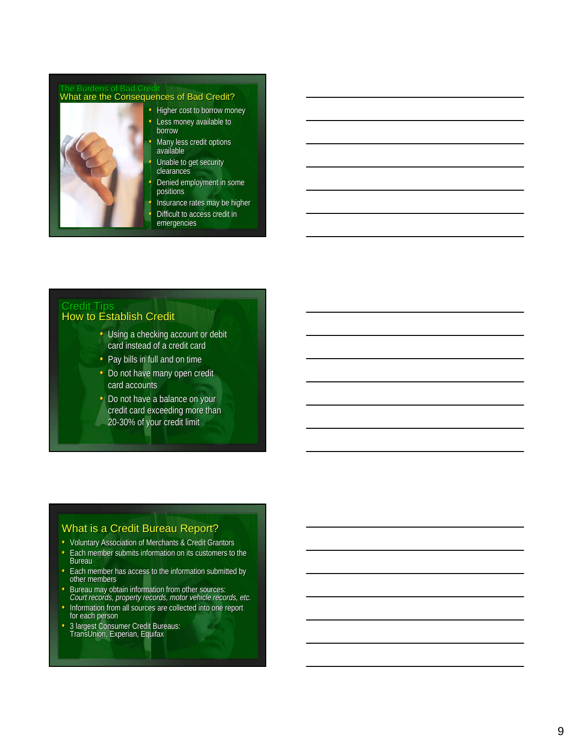### The Burdens of Bad Credit What are the Consequences of Bad Credit?

- Higher cost to borrow money Less money available to borrow
	- Many less credit options available
	- Unable to get security **clearances**
	- Denied employment in some positions
	- Insurance rates may be higher<br>Difficult to access credit in
	-
	- emergencies

# **Credit Tips** How to Establish Credit

- Using a checking account or debit card instead of a credit card
- Pay bills in full and on time
- Do not have many open credit card accounts
- Do not have a balance on your credit card exceeding more than 20-30% of your credit limit

# What is a Credit Bureau Report?

- 
- Voluntary Association of Merchants & Credit Grantors<br>• Each member submits information on its customers to the **Bureau**
- Each member has access to the information submitted by other members
- Bureau may obtain information from other sources: *Court records, property records, motor vehicle records, etc. etc.*
- Information from all sources are collected into one report for each person
- 3 largest Consumer Credit Bureaus: TransUnion, Experian, Equifax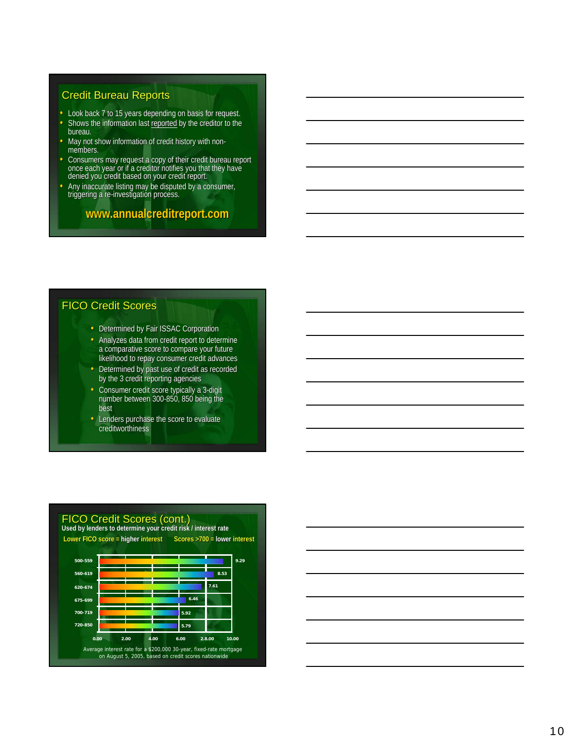# **Credit Bureau Reports**

- 
- Look back 7 to 15 years depending on basis for request.<br>• Shows the information last reported by the creditor to the bureau.<br>• May not show information of credit history with non-<br>members.
- 
- Consumers may request a copy of their credit bureau report once each year or if a creditor notifies you that they have denied you credit based on your credit report.
- Any inaccurate listing may be disputed by a consumer, triggering a re-investigation process.

# **www.annualcreditreport.com**

# **FICO Credit Scores**

- Determined by Fair ISSAC Corporation
- Analyzes data from credit report to determine a comparative score to compare your future likelihood to repay consumer credit advances
- Determined by past use of credit as recorded by the 3 credit reporting agencies
- Consumer credit score typically a 3-digit number between 300-850, 850 being the best
- Lenders purchase the score to evaluate creditworthiness

# FICO Credit Scores (cont.) FICO Credit Scores (cont.) **Used by lenders to determine your credit risk / interest rate**

**Lower FICO score = Lower FICO score higher interest Scores >700 = lower interest**



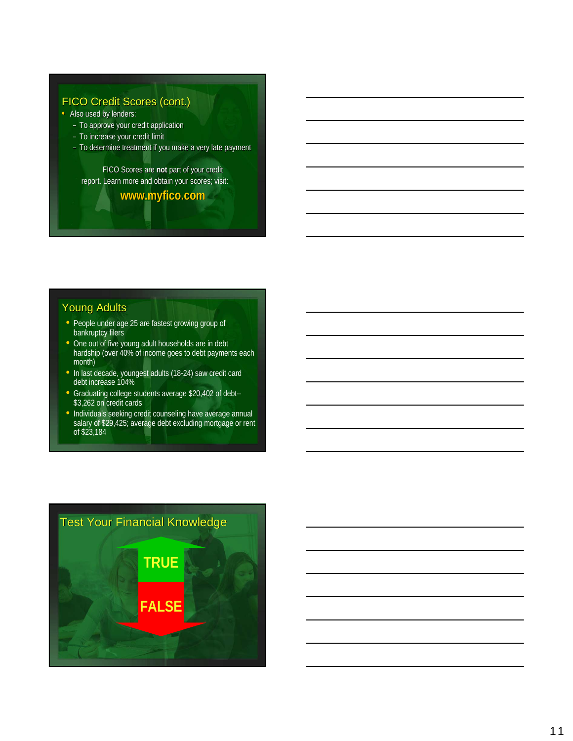# FICO Credit Scores (cont.)

- Also used by lenders:
	- To approve your credit application
	- To increase your credit limit
	- To determine treatment if you make a very late payment

FICO Scores are not part of your credit report. Learn more and obtain your scores; visit:

**www.myfico.com**

# Young Adults

- People under age 25 are fastest growing group of bankruptcy filers
- One out of five young adult households are in debt hardship (over 40% of income goes to debt payments each month)
- In last decade, youngest adults (18-24) saw credit card debt increase 104%
- Graduating college students average \$20,402 of debt-- \$3,262 on credit cards
- Individuals seeking credit counseling have average annual salary of \$29,425; average debt excluding mortgage or rent of \$23,184

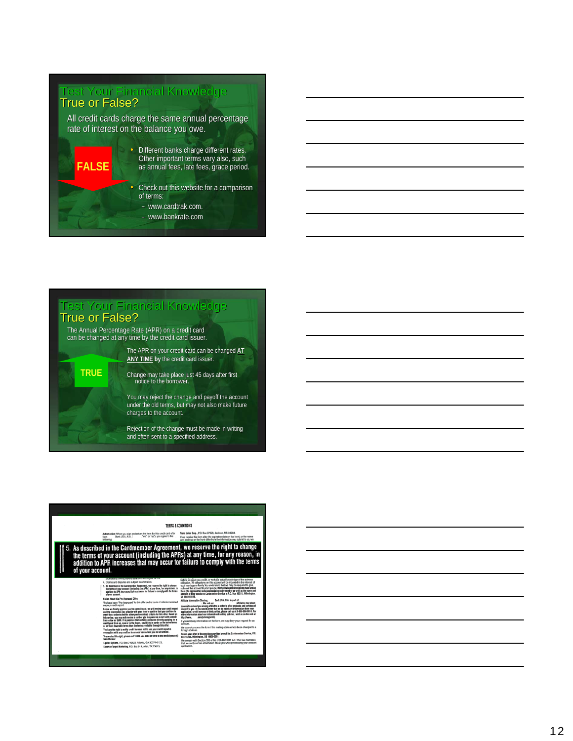# Test Your Financial Knowledge True or False?

All credit cards charge the same annual percentage rate of interest on the balance you owe.

# **FALSE**

- Different banks charge different rates. Other important terms vary also, such as annual fees, late fees, grace period.
- Check out this website for a comparison of terms:
	- www.cardtrak.com.
	- www.bankrate.com

# Test Your Financial Knowledge True or False?

The Annual Percentage Rate (APR) on a credit card can be changed at any time by the credit card issuer.

> The APR on your credit card can be changed AT **ANY TIME** by the credit card issuer.

**TRUE**

Change may take place just 45 days after first notice to the borrower.

You may reject the change and payoff the account under the old terms, but may not also make future charges to the account.

Rejection of the change must be made in writing and often sent to a specified address.

| TERMS & CONDITIONS<br>Authorization: When you sign and return the form for this credit card offer<br>. 'we', or 'us'), you agree to the<br>Bank USA, N.A. (<br>from<br>following:<br>5. As described in the Cardmember Agreement, we reserve the right to change<br>the terms of your account (including the APRs) at any time, for any reason, in                                                                                                                                                                                                                                                                                                                                                                                                                                                                                                                                                                                                                                 | Trans Union Corp., P.O. Box 97328, Jackson. MS 39288.<br>If we receive this form after the expiration date on the front, or the name<br>and address on the front differ from the information you submit to us, we                                                                                                                                                                                                                                                                                                                                                                                                                                                                                                                                                                        |
|------------------------------------------------------------------------------------------------------------------------------------------------------------------------------------------------------------------------------------------------------------------------------------------------------------------------------------------------------------------------------------------------------------------------------------------------------------------------------------------------------------------------------------------------------------------------------------------------------------------------------------------------------------------------------------------------------------------------------------------------------------------------------------------------------------------------------------------------------------------------------------------------------------------------------------------------------------------------------------|------------------------------------------------------------------------------------------------------------------------------------------------------------------------------------------------------------------------------------------------------------------------------------------------------------------------------------------------------------------------------------------------------------------------------------------------------------------------------------------------------------------------------------------------------------------------------------------------------------------------------------------------------------------------------------------------------------------------------------------------------------------------------------------|
| addition to APR increases that may occur for failure to comply with the terms<br>of your account.<br>DESCRIPTION OF PARTIES ENTITY ENTITY AND A ROOM PROFITER AND AND<br>4. Claims and disputes are subject to arbitration.<br>5. As described in the Cardmember Agreement, we reserve the right to change<br>the terms of your account (including the APRs) at any time, for any reason, in<br>addition to APR increases that may occur for failure to comply with the terms<br>of your account.<br>Notice About this Pre-Approved Offer:                                                                                                                                                                                                                                                                                                                                                                                                                                         | before we grant you credit, or we have actual knowledge of the adverse<br>obligation. All obligations on this account will be incurred in the interest of<br>your marriage or family. You understand that we may be required to give<br>notice of this account to your spouse. Married Wisconsin residents must furnish<br>their (the applicant's) name and social security number as well as the name and<br>address of their spouse to Cardmember Service at P.O. Box 15218, Wilmington,<br>DE 19850-5218.<br>Bank USA, N.A. is part of                                                                                                                                                                                                                                                |
| You have been "Pre-Approved" for this offer on the basis of criteria contained<br>on your credit report.<br>Before we finally approve you for a credit card, we will review your credit report<br>and the information you provide with your form to confirm that you continue to<br>meet these criteria and the other predetermined criteria for this offer. Based on<br>this review, you may not receive a card or you may receive a card with a credit<br>line as low as \$500. It is possible that certain applicants directly applying for a<br>credit card from us, now or in the future, could obtain cards on the same terms<br>or on more tayorable terms than the terms available through this offer.<br>You have the right to notify credit bureaus not to use your credit report in<br>connection with any credit or insurance transaction you do not initiate.<br>To exercise this right, please call 1-888-567-8688 or write to the credit bureau(s)<br>licied below: | <b>Attitiate Information Sharing:</b><br>affiliates may share<br>We and our<br>information about you among attiliates in order to offer products and services of<br>interest to you. If you would prefer that we do not share information from your<br>application, credit bureaus or third parties, please call us at 1-888-868-8618. For<br>more information about our information handling policies, visit us on the web at:<br>.com/privacypolicy.<br>http://www.<br>If you omit any information on the form, we may deny your request for an<br>account.<br>We cannot process the form if the mailing address has been changed to a<br>foreign address.<br>Return your offer in the envelope provided or mail to: Cardmember Service, P.O.<br>Rox 15201, Wilmington, DE 19850-5201. |
| Equitax Options, P.O. Box 740123, Atlanta, GA 30374-0123,<br>Experian Target Marketing, P.O. Box 919, Allen, TX 75013,                                                                                                                                                                                                                                                                                                                                                                                                                                                                                                                                                                                                                                                                                                                                                                                                                                                             | We comply with Section 326 of the USA PATRIOT Act. This law mandates<br>that we verify certain information about you while processing your account<br>anglication.                                                                                                                                                                                                                                                                                                                                                                                                                                                                                                                                                                                                                       |

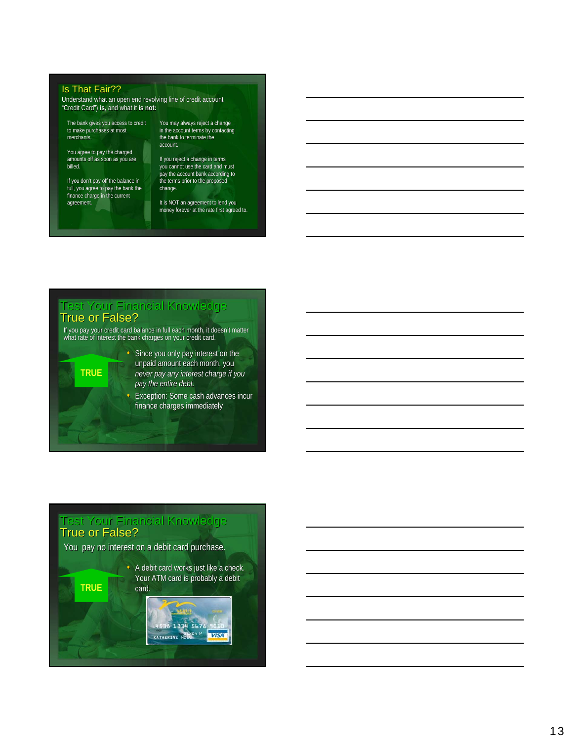### Is That Fair??

Understand what an open end revolving line of credit account "Credit Card") **is**, and what it is not:

The bank gives you access to credit to make purchases at most merchants. merchants.

You agree to pay the charged<br>amounts off as soon as you are<br>billed.

If you don't pay off the balance in<br>full, you agree to pay the bank the<br>finance charge in the current agreement.

You may always reject a change in the account terms by contacting the bank to terminate the account.

If you reject a change in terms<br>you cannot use the card and must pay the account bank according to<br>the terms prior to the proposed change.

It is NOT an agreement to lend you<br>money forever at the rate first agreed to.

# Test Your Financial Knowledge True or False?

If you pay your credit card balance in full each month, it doesn't matter what rate of interest the bank charges on your credit card.

**TRUE**

- Since you only pay interest on the unpaid amount each month, you *never pay any interest charge if you never interest charge pay the entire debt.*
- Exception: Some cash advances incur finance charges immediately

# Test Your Financial Knowledge True or False?

You pay no interest on a debit card purchase.

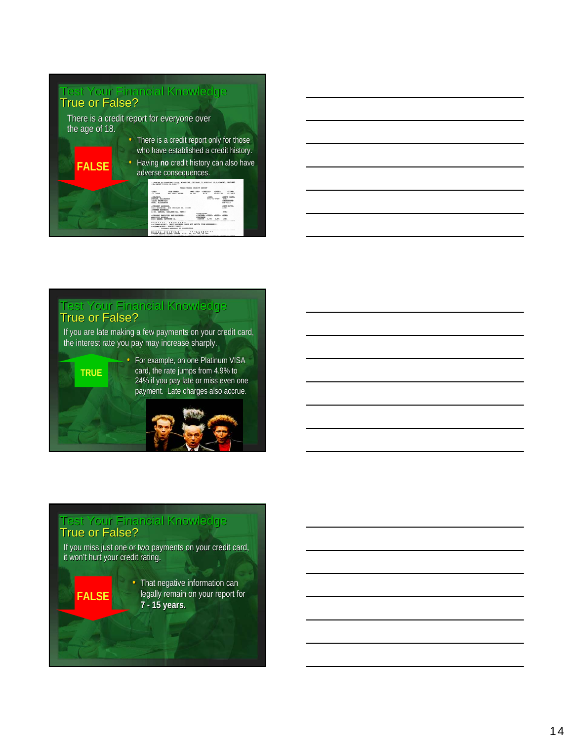# There is a credit report for everyone over the age of 18. Test Your Financial Knowledge True or False?

| <b>FALSE</b> | • There is a credit report only for those<br>who have established a credit history.<br>Having no credit history can also have<br>٠<br>adverse consequences. |
|--------------|-------------------------------------------------------------------------------------------------------------------------------------------------------------|
|              | DONCAR ELIZABETHY2 9923. MODELER, CELCARD, IL 4069393<br>CA banaben 001-05-0418**                                                                           |
|              | <b>MA ARMORA</b>                                                                                                                                            |
|              | <b>CATE RETOR</b><br>11.791                                                                                                                                 |
|              |                                                                                                                                                             |

# Test Your Financial Knowledge True or False?

If you are late making a few payments on your credit card, the interest rate you pay may increase sharply.

**TRUE**

• For example, on one Platinum VISA card, the rate jumps from  $4.9\%$  to 24% if you pay late or miss even one payment. Late charges also accrue.



# Test Your Financial Knowledge True or False?

If you miss just one or two payments on your credit card, it won't hurt your credit rating.



That negative information can legally remain on your report for **7 - 15 years. 15 years.**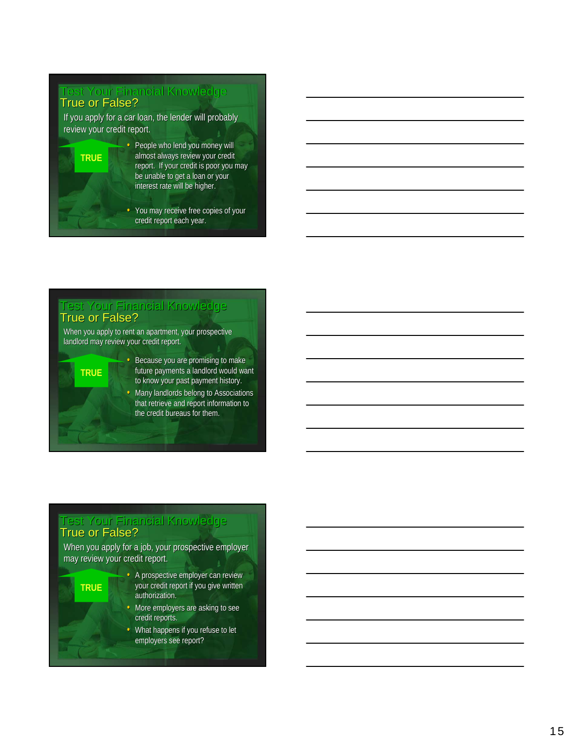# Test Your Financial Knowledge True or False?

If you apply for a car loan, the lender will probably review your credit report.

# **TRUE**

- People who lend you money will almost always review your credit report. If your credit is poor you may be unable to get a loan or your interest rate will be higher.
- You may receive free copies of your credit report each year.

# Test Your Financial Knowledge True or False?

When you apply to rent an apartment, your prospective landlord may review your credit report.

# **TRUE**

- Because you are promising to make future payments a landlord would want to know your past payment history. • Many landlords belong to Associations
- that retrieve and report information to the credit bureaus for them.

# Test Your Financial Knowledge True or False?

When you apply for a job, your prospective employer may review your credit report.

# **TRUE**

- $\overline{\phantom{a}}$  A prospective employer can review your credit report if you give written authorization.
- More employers are asking to see credit reports.
- $\cdot$  What happens if you refuse to let employers see report?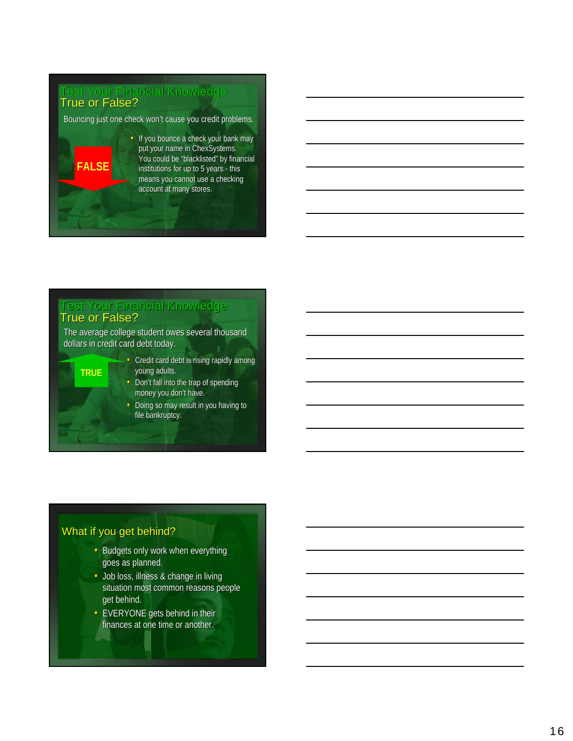# Test Your Financial Knowledge True or False?

# Bouncing just one check won't cause you credit problems.



**TRUE**

• If you bounce a check your bank may put your name in ChexSystems. You could be "blacklisted" by financial institutions for up to 5 years - this means you cannot use a checking account at many stores.

# Test Your Financial Knowledge True or False?

The average college student owes several thousand dollars in credit card debt today.

- Credit card debt is rising rapidly among young adults. young
- Don't fall into the trap of spending money you don't have.
- Doing so may result in you having to file bankruptcy.

# What if you get behind?

- Budgets only work when everything goes as planned.
- Job loss, illness & change in living situation most common reasons people get behind.
- EVERYONE gets behind in their finances at one time or another.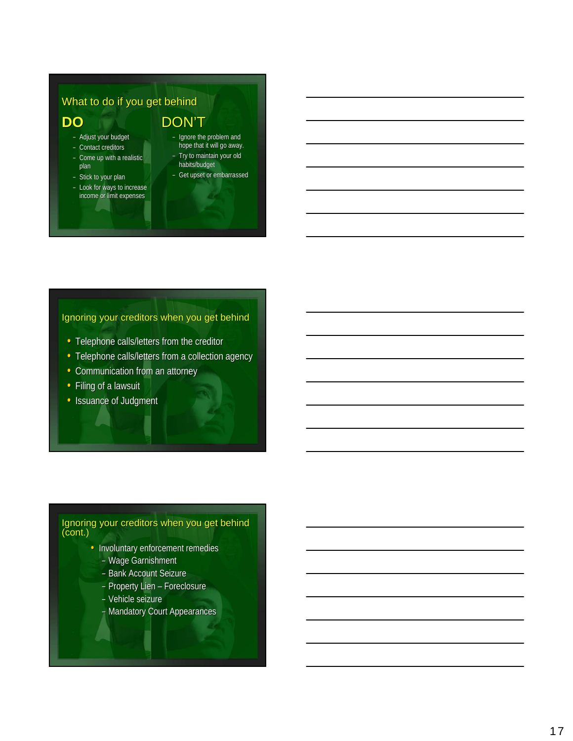# What to do if you get behind

# **DO**

- Adjust your budget
- Contact creditors – Come up with a realistic plan
- Stick to your plan
- Look for ways to increase Look for ways to increase income or limit expenses

**DON'T** 

- Ignore the problem and hope that it will go away.
- Try to maintain your old Try to maintain your old habits/budget
- Get upset or embarrassed

# Ignoring your creditors when you get behind

- $\cdot$  Telephone calls/letters from the creditor
- Telephone calls/letters from a collection agency
- Communication from an attorney
- $\cdot$  Filing of a lawsuit
- Issuance of Judgment

# Ignoring your creditors when you get behind  $(cont.)$

- Involuntary enforcement remedies
	- Wage Garnishment
	- Bank Account Seizure
	- Property Lien Foreclosure
	- Vehicle seizure
	- Mandatory Court Appearances